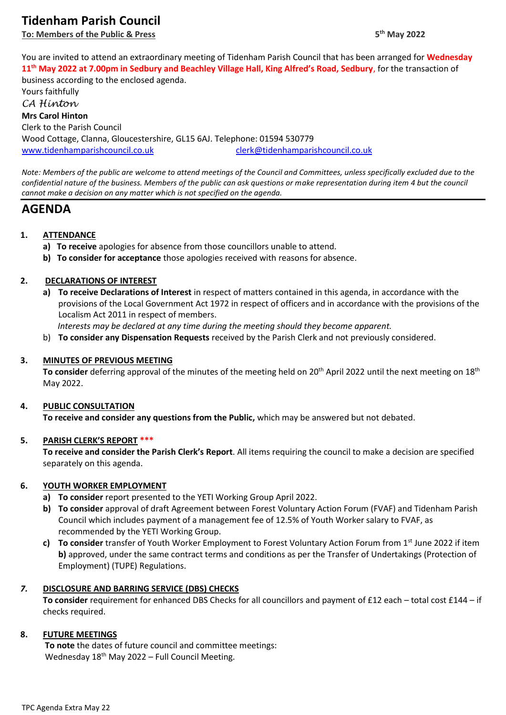# **Tidenham Parish Council**

**To: Members of the Public & Press** 

You are invited to attend an extraordinary meeting of Tidenham Parish Council that has been arranged for **Wednesday 11th May 2022 at 7.00pm in Sedbury and Beachley Village Hall, King Alfred's Road, Sedbury**, for the transaction of business according to the enclosed agenda.

Yours faithfully *CA Hinton* **Mrs Carol Hinton** Clerk to the Parish Council Wood Cottage, Clanna, Gloucestershire, GL15 6AJ. Telephone: 01594 530779 [www.tidenhamparishcouncil.co.uk](http://www.tidenhamparishcouncil.co.uk/) [clerk@tidenhamparishcouncil.co.uk](mailto:clerk@tidenhamparishcouncil.co.uk)

*Note: Members of the public are welcome to attend meetings of the Council and Committees, unless specifically excluded due to the confidential nature of the business. Members of the public can ask questions or make representation during item 4 but the council cannot make a decision on any matter which is not specified on the agenda.*

## **AGENDA**

### **1. ATTENDANCE**

- **a) To receive** apologies for absence from those councillors unable to attend.
- **b) To consider for acceptance** those apologies received with reasons for absence.

#### **2. DECLARATIONS OF INTEREST**

**a) To receive Declarations of Interest** in respect of matters contained in this agenda, in accordance with the provisions of the Local Government Act 1972 in respect of officers and in accordance with the provisions of the Localism Act 2011 in respect of members.

 *Interests may be declared at any time during the meeting should they become apparent.*

b) **To consider any Dispensation Requests** received by the Parish Clerk and not previously considered.

#### **3. MINUTES OF PREVIOUS MEETING**

To consider deferring approval of the minutes of the meeting held on 20<sup>th</sup> April 2022 until the next meeting on 18<sup>th</sup> May 2022.

#### **4. PUBLIC CONSULTATION**

**To receive and consider any questions from the Public,** which may be answered but not debated.

#### **5. PARISH CLERK'S REPORT \*\*\***

**To receive and consider the Parish Clerk's Report**. All items requiring the council to make a decision are specified separately on this agenda.

#### **6. YOUTH WORKER EMPLOYMENT**

- **a) To consider** report presented to the YETI Working Group April 2022.
- **b) To consider** approval of draft Agreement between Forest Voluntary Action Forum (FVAF) and Tidenham Parish Council which includes payment of a management fee of 12.5% of Youth Worker salary to FVAF, as recommended by the YETI Working Group.
- **c) To consider** transfer of Youth Worker Employment to Forest Voluntary Action Forum from 1st June 2022 if item **b)** approved, under the same contract terms and conditions as per the Transfer of Undertakings (Protection of Employment) (TUPE) Regulations.

#### *7.* **DISCLOSURE AND BARRING SERVICE (DBS) CHECKS**

**To consider** requirement for enhanced DBS Checks for all councillors and payment of £12 each – total cost £144 – if checks required.

#### **8. FUTURE MEETINGS**

 **To note** the dates of future council and committee meetings: Wednesday 18<sup>th</sup> May 2022 – Full Council Meeting.